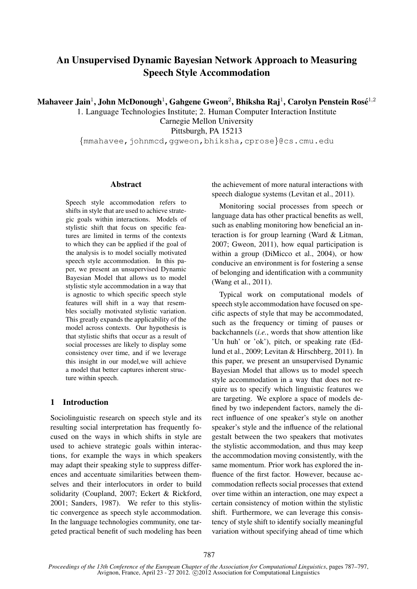# An Unsupervised Dynamic Bayesian Network Approach to Measuring Speech Style Accommodation

Mahaveer Jain<sup>1</sup>, John McDonough<sup>1</sup>, Gahgene Gweon<sup>2</sup>, Bhiksha Raj<sup>1</sup>, Carolyn Penstein Rosé<sup>1,2</sup>

1. Language Technologies Institute; 2. Human Computer Interaction Institute Carnegie Mellon University

Pittsburgh, PA 15213

*{*mmahavee,johnmcd,ggweon,bhiksha,cprose*}*@cs.cmu.edu

#### Abstract

Speech style accommodation refers to shifts in style that are used to achieve strategic goals within interactions. Models of stylistic shift that focus on specific features are limited in terms of the contexts to which they can be applied if the goal of the analysis is to model socially motivated speech style accommodation. In this paper, we present an unsupervised Dynamic Bayesian Model that allows us to model stylistic style accommodation in a way that is agnostic to which specific speech style features will shift in a way that resembles socially motivated stylistic variation. This greatly expands the applicability of the model across contexts. Our hypothesis is that stylistic shifts that occur as a result of social processes are likely to display some consistency over time, and if we leverage this insight in our model,we will achieve a model that better captures inherent structure within speech.

# 1 Introduction

Sociolinguistic research on speech style and its resulting social interpretation has frequently focused on the ways in which shifts in style are used to achieve strategic goals within interactions, for example the ways in which speakers may adapt their speaking style to suppress differences and accentuate similarities between themselves and their interlocutors in order to build solidarity (Coupland, 2007; Eckert & Rickford, 2001; Sanders, 1987). We refer to this stylistic convergence as speech style accommodation. In the language technologies community, one targeted practical benefit of such modeling has been

the achievement of more natural interactions with speech dialogue systems (Levitan et al., 2011).

Monitoring social processes from speech or language data has other practical benefits as well, such as enabling monitoring how beneficial an interaction is for group learning (Ward & Litman, 2007; Gweon, 2011), how equal participation is within a group (DiMicco et al., 2004), or how conducive an environment is for fostering a sense of belonging and identification with a community (Wang et al., 2011).

Typical work on computational models of speech style accommodation have focused on specific aspects of style that may be accommodated, such as the frequency or timing of pauses or backchannels (*i.e.*, words that show attention like 'Un huh' or 'ok'), pitch, or speaking rate (Edlund et al., 2009; Levitan & Hirschberg, 2011). In this paper, we present an unsupervised Dynamic Bayesian Model that allows us to model speech style accommodation in a way that does not require us to specify which linguistic features we are targeting. We explore a space of models defined by two independent factors, namely the direct influence of one speaker's style on another speaker's style and the influence of the relational gestalt between the two speakers that motivates the stylistic accommodation, and thus may keep the accommodation moving consistently, with the same momentum. Prior work has explored the influence of the first factor. However, because accommodation reflects social processes that extend over time within an interaction, one may expect a certain consistency of motion within the stylistic shift. Furthermore, we can leverage this consistency of style shift to identify socially meaningful variation without specifying ahead of time which

*Proceedings of the 13th Conference of the European Chapter of the Association for Computational Linguistics*, pages 787–797, Avignon, France, April 23 - 27 2012. C2012 Association for Computational Linguistics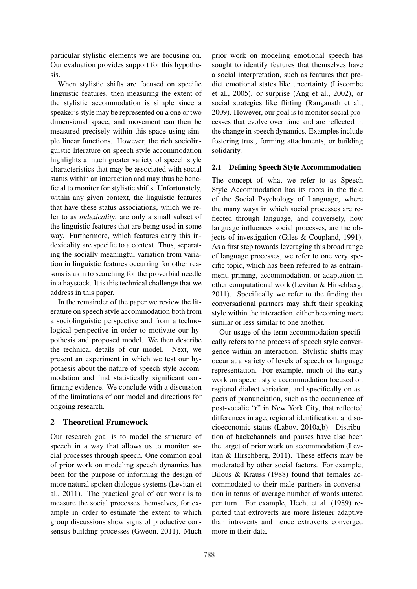particular stylistic elements we are focusing on. Our evaluation provides support for this hypothesis.

When stylistic shifts are focused on specific linguistic features, then measuring the extent of the stylistic accommodation is simple since a speaker's style may be represented on a one or two dimensional space, and movement can then be measured precisely within this space using simple linear functions. However, the rich sociolinguistic literature on speech style accommodation highlights a much greater variety of speech style characteristics that may be associated with social status within an interaction and may thus be beneficial to monitor for stylistic shifts. Unfortunately, within any given context, the linguistic features that have these status associations, which we refer to as *indexicality*, are only a small subset of the linguistic features that are being used in some way. Furthermore, which features carry this indexicality are specific to a context. Thus, separating the socially meaningful variation from variation in linguistic features occurring for other reasons is akin to searching for the proverbial needle in a haystack. It is this technical challenge that we address in this paper.

In the remainder of the paper we review the literature on speech style accommodation both from a sociolinguistic perspective and from a technological perspective in order to motivate our hypothesis and proposed model. We then describe the technical details of our model. Next, we present an experiment in which we test our hypothesis about the nature of speech style accommodation and find statistically significant confirming evidence. We conclude with a discussion of the limitations of our model and directions for ongoing research.

# 2 Theoretical Framework

Our research goal is to model the structure of speech in a way that allows us to monitor social processes through speech. One common goal of prior work on modeling speech dynamics has been for the purpose of informing the design of more natural spoken dialogue systems (Levitan et al., 2011). The practical goal of our work is to measure the social processes themselves, for example in order to estimate the extent to which group discussions show signs of productive consensus building processes (Gweon, 2011). Much

prior work on modeling emotional speech has sought to identify features that themselves have a social interpretation, such as features that predict emotional states like uncertainty (Liscombe et al., 2005), or surprise (Ang et al., 2002), or social strategies like flirting (Ranganath et al., 2009). However, our goal is to monitor social processes that evolve over time and are reflected in the change in speech dynamics. Examples include fostering trust, forming attachments, or building solidarity.

# 2.1 Defining Speech Style Accommmodation

The concept of what we refer to as Speech Style Accommodation has its roots in the field of the Social Psychology of Language, where the many ways in which social processes are reflected through language, and conversely, how language influences social processes, are the objects of investigation (Giles & Coupland, 1991). As a first step towards leveraging this broad range of language processes, we refer to one very specific topic, which has been referred to as entrainment, priming, accommodation, or adaptation in other computational work (Levitan & Hirschberg, 2011). Specifically we refer to the finding that conversational partners may shift their speaking style within the interaction, either becoming more similar or less similar to one another.

Our usage of the term accommodation specifically refers to the process of speech style convergence within an interaction. Stylistic shifts may occur at a variety of levels of speech or language representation. For example, much of the early work on speech style accommodation focused on regional dialect variation, and specifically on aspects of pronunciation, such as the occurrence of post-vocalic "r" in New York City, that reflected differences in age, regional identification, and socioeconomic status (Labov, 2010a,b). Distribution of backchannels and pauses have also been the target of prior work on accommodation (Levitan & Hirschberg, 2011). These effects may be moderated by other social factors. For example, Bilous & Krauss (1988) found that females accommodated to their male partners in conversation in terms of average number of words uttered per turn. For example, Hecht et al. (1989) reported that extroverts are more listener adaptive than introverts and hence extroverts converged more in their data.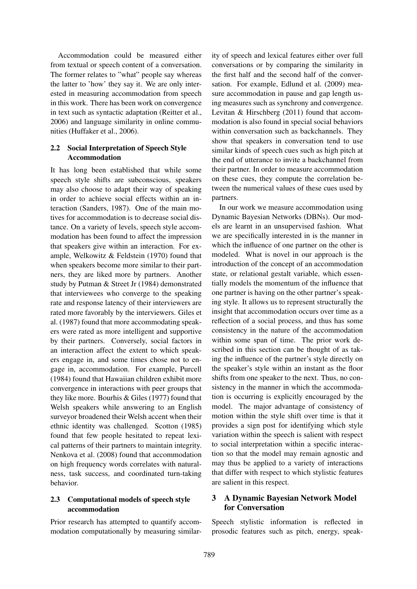Accommodation could be measured either from textual or speech content of a conversation. The former relates to "what" people say whereas the latter to 'how' they say it. We are only interested in measuring accommodation from speech in this work. There has been work on convergence in text such as syntactic adaptation (Reitter et al., 2006) and language similarity in online communities (Huffaker et al., 2006).

### 2.2 Social Interpretation of Speech Style Accommodation

It has long been established that while some speech style shifts are subconscious, speakers may also choose to adapt their way of speaking in order to achieve social effects within an interaction (Sanders, 1987). One of the main motives for accommodation is to decrease social distance. On a variety of levels, speech style accommodation has been found to affect the impression that speakers give within an interaction. For example, Welkowitz & Feldstein (1970) found that when speakers become more similar to their partners, they are liked more by partners. Another study by Putman & Street Jr (1984) demonstrated that interviewees who converge to the speaking rate and response latency of their interviewers are rated more favorably by the interviewers. Giles et al. (1987) found that more accommodating speakers were rated as more intelligent and supportive by their partners. Conversely, social factors in an interaction affect the extent to which speakers engage in, and some times chose not to engage in, accommodation. For example, Purcell (1984) found that Hawaiian children exhibit more convergence in interactions with peer groups that they like more. Bourhis & Giles (1977) found that Welsh speakers while answering to an English surveyor broadened their Welsh accent when their ethnic identity was challenged. Scotton (1985) found that few people hesitated to repeat lexical patterns of their partners to maintain integrity. Nenkova et al. (2008) found that accommodation on high frequency words correlates with naturalness, task success, and coordinated turn-taking behavior.

# 2.3 Computational models of speech style accommodation

Prior research has attempted to quantify accommodation computationally by measuring similarity of speech and lexical features either over full conversations or by comparing the similarity in the first half and the second half of the conversation. For example, Edlund et al. (2009) measure accommodation in pause and gap length using measures such as synchrony and convergence. Levitan & Hirschberg (2011) found that accommodation is also found in special social behaviors within conversation such as backchannels. They show that speakers in conversation tend to use similar kinds of speech cues such as high pitch at the end of utterance to invite a backchannel from their partner. In order to measure accommodation on these cues, they compute the correlation between the numerical values of these cues used by partners.

In our work we measure accommodation using Dynamic Bayesian Networks (DBNs). Our models are learnt in an unsupervised fashion. What we are specifically interested in is the manner in which the influence of one partner on the other is modeled. What is novel in our approach is the introduction of the concept of an accommodation state, or relational gestalt variable, which essentially models the momentum of the influence that one partner is having on the other partner's speaking style. It allows us to represent structurally the insight that accommodation occurs over time as a reflection of a social process, and thus has some consistency in the nature of the accommodation within some span of time. The prior work described in this section can be thought of as taking the influence of the partner's style directly on the speaker's style within an instant as the floor shifts from one speaker to the next. Thus, no consistency in the manner in which the accommodation is occurring is explicitly encouraged by the model. The major advantage of consistency of motion within the style shift over time is that it provides a sign post for identifying which style variation within the speech is salient with respect to social interpretation within a specific interaction so that the model may remain agnostic and may thus be applied to a variety of interactions that differ with respect to which stylistic features are salient in this respect.

# 3 A Dynamic Bayesian Network Model for Conversation

Speech stylistic information is reflected in prosodic features such as pitch, energy, speak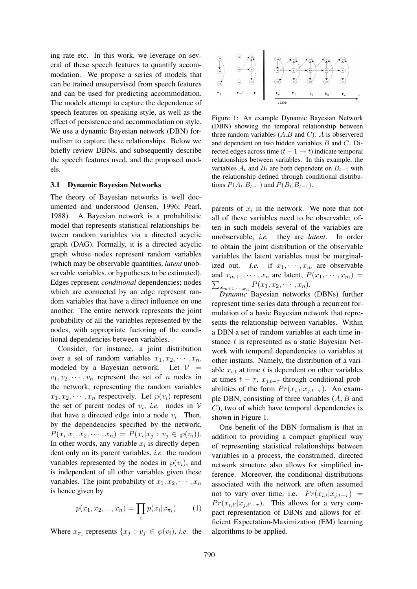ing rate etc. In this work, we leverage on several of these speech features to quantify accommodation. We propose a series of models that can be trained unsupervised from speech features and can be used for predicting accommodation. The models attempt to capture the dependence of speech features on speaking style, as well as the effect of persistence and accommodation on style. We use a dynamic Bayesian network (DBN) formalism to capture these relationships. Below we briefly review DBNs, and subsequently describe the speech features used, and the proposed models.

#### 3.1 Dynamic Bayesian Networks

The theory of Bayesian networks is well documented and understood (Jensen, 1996; Pearl, 1988). A Bayesian network is a probabilistic model that represents statistical relationships between random variables via a directed acyclic graph (DAG). Formally, it is a directed acyclic graph whose nodes represent random variables (which may be observable quantities, *latent* unobservable variables, or hypotheses to be estimated). Edges represent *conditional* dependencies; nodes which are connected by an edge represent random variables that have a direct influence on one another. The entire network represents the joint probability of all the variables represented by the nodes, with appropriate factoring of the conditional dependencies between variables.

Consider, for instance, a joint distribution over a set of random variables  $x_1, x_2, \cdots, x_n$ , modeled by a Bayesian network. Let  $V =$  $v_1, v_2, \dots, v_n$  represent the set of *n* nodes in the network, representing the random variables  $x_1, x_2, \cdots, x_n$  respectively. Let  $\wp(v_i)$  represent the set of parent nodes of  $v_i$ , *i.e.* nodes in  $V$ that have a directed edge into a node  $v_i$ . Then, by the dependencies specified by the network,  $P(x_i|x_1, x_2, \cdots, x_n) = P(x_i|x_j : v_j \in \wp(v_i)).$ In other words, any variable  $x_i$  is directly dependent only on its parent variables, *i.e.* the random variables represented by the nodes in  $\varphi(v_i)$ , and is independent of all other variables given these variables. The joint probability of  $x_1, x_2, \cdots, x_n$ is hence given by

$$
p(x_1, x_2, ..., x_n) = \prod_i p(x_i | x_{\pi_i}) \tag{1}
$$

Where  $x_{\pi_i}$  represents  $\{x_j : v_j \in \wp(v_i), i.e.$  the



Figure 1: An example Dynamic Bayesian Network (DBN) showing the temporal relationship between three random variables (*A*,*B* and *C*). *A* is observered and dependent on two hidden variables *B* and *C*. Directed edges across time  $(t - 1 \rightarrow t)$  indicate temporal relationships between variables. In this example, the variables  $A_t$  and  $B_t$  are both dependent on  $B_{t-1}$  with the relationship defined through conditional distributions  $P(A_t|B_{t-1})$  and  $P(B_t|B_{t-1})$ .

parents of  $x_i$  in the network. We note that not all of these variables need to be observable; often in such models several of the variables are unobservable, *i.e.* they are *latent*. In order to obtain the joint distribution of the observable variables the latent variables must be marginalized out. *I.e.* if  $x_1, \dots, x_m$  are observable  $\sum_{x_{m+1},...,x_n} P(x_1, x_2, \cdots, x_n).$ and  $x_{m+1}, \dots, x_n$  are latent,  $P(x_1, \dots, x_m) =$ 

*Dynamic* Bayesian networks (DBNs) further represent time-series data through a recurrent formulation of a basic Bayesian network that represents the relationship between variables. Within a DBN a set of random variables at each time instance *t* is represented as a static Bayesian Network with temporal dependencies to variables at other instants. Namely, the distribution of a variable  $x_{i,t}$  at time  $t$  is dependent on other variables at times  $t - \tau$ ,  $x_{i,t-\tau}$  through conditional probabilities of the form  $Pr(x_{i,t}|x_{j,t-\tau})$ . An example DBN, consisting of three variables (*A, B* and *C*), two of which have temporal dependencies is shown in Figure 1.

One benefit of the DBN formalism is that in addition to providing a compact graphical way of representing statistical relationships between variables in a process, the constrained, directed network structure also allows for simplified inference. Moreover, the conditional distributions associated with the network are often assumed not to vary over time, i.e.  $Pr(x_{i,t}|x_{i,t-\tau})$  = *Pr*( $x_{i,t}$ <sup>*/*</sup> $|x_{i,t'-\tau}$ ). This allows for a very compact representation of DBNs and allows for efficient Expectation-Maximization (EM) learning algorithms to be applied.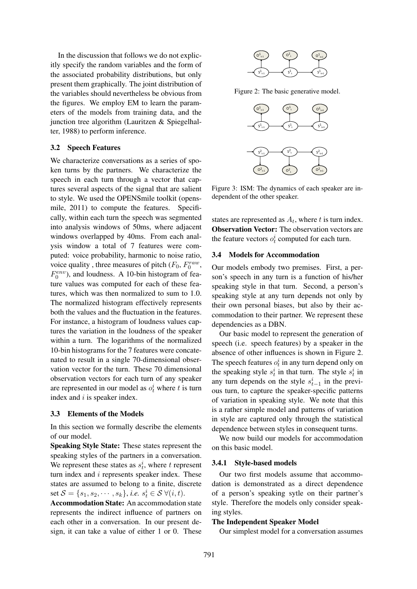In the discussion that follows we do not explicitly specify the random variables and the form of the associated probability distributions, but only present them graphically. The joint distribution of the variables should nevertheless be obvious from the figures. We employ EM to learn the parameters of the models from training data, and the junction tree algorithm (Lauritzen & Spiegelhalter, 1988) to perform inference.

### 3.2 Speech Features

We characterize conversations as a series of spoken turns by the partners. We characterize the speech in each turn through a vector that captures several aspects of the signal that are salient to style. We used the OPENSmile toolkit (opensmile, 2011) to compute the features. Specifically, within each turn the speech was segmented into analysis windows of 50ms, where adjacent windows overlapped by 40ms. From each analysis window a total of 7 features were computed: voice probability, harmonic to noise ratio, voice quality, three measures of pitch  $(F_0, F_0^{raw},$  $F_0^{env}$ ), and loudness. A 10-bin histogram of feature values was computed for each of these features, which was then normalized to sum to 1.0. The normalized histogram effectively represents both the values and the fluctuation in the features. For instance, a histogram of loudness values captures the variation in the loudness of the speaker within a turn. The logarithms of the normalized 10-bin histograms for the 7 features were concatenated to result in a single 70-dimensional observation vector for the turn. These 70 dimensional observation vectors for each turn of any speaker are represented in our model as  $o_t^i$  where *t* is turn index and *i* is speaker index.

#### 3.3 Elements of the Models

In this section we formally describe the elements of our model.

Speaking Style State: These states represent the speaking styles of the partners in a conversation. We represent these states as  $s_t^i$ , where *t* represent turn index and *i* represents speaker index. These states are assumed to belong to a finite, discrete  $\text{set } \mathcal{S} = \{s_1, s_2, \cdots, s_k\}, \text{ i.e. } s_t^i \in \mathcal{S} \; \forall (i, t).$ 

Accommodation State: An accommodation state represents the indirect influence of partners on each other in a conversation. In our present design, it can take a value of either 1 or 0. These



Figure 2: The basic generative model.



Figure 3: ISM: The dynamics of each speaker are independent of the other speaker.

states are represented as  $A_t$ , where  $t$  is turn index. Observation Vector: The observation vectors are the feature vectors  $o_t^i$  computed for each turn.

#### 3.4 Models for Accommodation

Our models embody two premises. First, a person's speech in any turn is a function of his/her speaking style in that turn. Second, a person's speaking style at any turn depends not only by their own personal biases, but also by their accommodation to their partner. We represent these dependencies as a DBN.

Our basic model to represent the generation of speech (i.e. speech features) by a speaker in the absence of other influences is shown in Figure 2. The speech features  $o_t^i$  in any turn depend only on the speaking style  $s_t^i$  in that turn. The style  $s_t^i$  in any turn depends on the style  $s_{t-1}^i$  in the previous turn, to capture the speaker-specific patterns of variation in speaking style. We note that this is a rather simple model and patterns of variation in style are captured only through the statistical dependence between styles in consequent turns.

We now build our models for accommodation on this basic model.

#### 3.4.1 Style-based models

Our two first models assume that accommodation is demonstrated as a direct dependence of a person's speaking sytle on their partner's style. Therefore the models only consider speaking styles.

#### The Independent Speaker Model

Our simplest model for a conversation assumes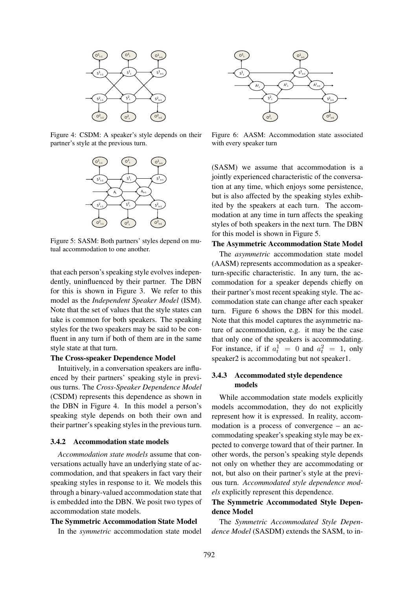

Figure 4: CSDM: A speaker's style depends on their partner's style at the previous turn.



Figure 5: SASM: Both partners' styles depend on mutual accommodation to one another.

that each person's speaking style evolves independently, uninfluenced by their partner. The DBN for this is shown in Figure 3. We refer to this model as the *Independent Speaker Model* (ISM). Note that the set of values that the style states can take is common for both speakers. The speaking styles for the two speakers may be said to be confluent in any turn if both of them are in the same style state at that turn.

#### The Cross-speaker Dependence Model

Intuitively, in a conversation speakers are influenced by their partners' speaking style in previous turns. The *Cross-Speaker Dependence Model* (CSDM) represents this dependence as shown in the DBN in Figure 4. In this model a person's speaking style depends on both their own and their partner's speaking styles in the previous turn.

### 3.4.2 Accommodation state models

*Accommodation state models* assume that conversations actually have an underlying state of accommodation, and that speakers in fact vary their speaking styles in response to it. We models this through a binary-valued accommodation state that is embedded into the DBN. We posit two types of accommodation state models.

#### The Symmetric Accommodation State Model

In the *symmetric* accommodation state model



Figure 6: AASM: Accommodation state associated with every speaker turn

(SASM) we assume that accommodation is a jointly experienced characteristic of the conversation at any time, which enjoys some persistence, but is also affected by the speaking styles exhibited by the speakers at each turn. The accommodation at any time in turn affects the speaking styles of both speakers in the next turn. The DBN for this model is shown in Figure 5.

### The Asymmetric Accommodation State Model

The *asymmetric* accommodation state model (AASM) represents accommodation as a speakerturn-specific characteristic. In any turn, the accommodation for a speaker depends chiefly on their partner's most recent speaking style. The accommodation state can change after each speaker turn. Figure 6 shows the DBN for this model. Note that this model captures the asymmetric nature of accommodation, e.g. it may be the case that only one of the speakers is accommodating. For instance, if if  $a_t^1 = 0$  and  $a_t^2 = 1$ , only speaker2 is accommodating but not speaker1.

# 3.4.3 Accommodated style dependence models

While accommodation state models explicitly models accommodation, they do not explicitly represent how it is expressed. In reality, accommodation is a process of convergence – an accommodating speaker's speaking style may be expected to converge toward that of their partner. In other words, the person's speaking style depends not only on whether they are accommodating or not, but also on their partner's style at the previous turn. *Accommodated style dependence models* explicitly represent this dependence.

# The Symmetric Accommodated Style Dependence Model

The *Symmetric Accommodated Style Dependence Model* (SASDM) extends the SASM, to in-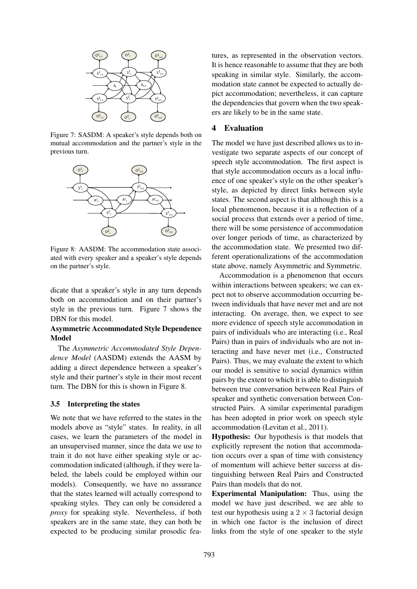

Figure 7: SASDM: A speaker's style depends both on mutual accommodation and the partner's style in the previous turn.



Figure 8: AASDM: The accommodation state associated with every speaker and a speaker's style depends on the partner's style.

dicate that a speaker's style in any turn depends both on accommodation and on their partner's style in the previous turn. Figure 7 shows the DBN for this model.

## Asymmetric Accommodated Style Dependence Model

The *Asymmetric Accommodated Style Dependence Model* (AASDM) extends the AASM by adding a direct dependence between a speaker's style and their partner's style in their most recent turn. The DBN for this is shown in Figure 8.

#### 3.5 Interpreting the states

We note that we have referred to the states in the models above as "style" states. In reality, in all cases, we learn the parameters of the model in an unsupervised manner, since the data we use to train it do not have either speaking style or accommodation indicated (although, if they were labeled, the labels could be employed within our models). Consequently, we have no assurance that the states learned will actually correspond to speaking styles. They can only be considered a *proxy* for speaking style. Nevertheless, if both speakers are in the same state, they can both be expected to be producing similar prosodic features, as represented in the observation vectors. It is hence reasonable to assume that they are both speaking in similar style. Similarly, the accommodation state cannot be expected to actually depict accommodation; nevertheless, it can capture the dependencies that govern when the two speakers are likely to be in the same state.

# 4 Evaluation

The model we have just described allows us to investigate two separate aspects of our concept of speech style accommodation. The first aspect is that style accommodation occurs as a local influence of one speaker's style on the other speaker's style, as depicted by direct links between style states. The second aspect is that although this is a local phenomenon, because it is a reflection of a social process that extends over a period of time, there will be some persistence of accommodation over longer periods of time, as characterized by the accommodation state. We presented two different operationalizations of the accommodation state above, namely Asymmetric and Symmetric.

Accommodation is a phenomenon that occurs within interactions between speakers; we can expect not to observe accommodation occurring between individuals that have never met and are not interacting. On average, then, we expect to see more evidence of speech style accommodation in pairs of individuals who are interacting (i.e., Real Pairs) than in pairs of individuals who are not interacting and have never met (i.e., Constructed Pairs). Thus, we may evaluate the extent to which our model is sensitive to social dynamics within pairs by the extent to which it is able to distinguish between true conversation between Real Pairs of speaker and synthetic conversation between Constructed Pairs. A similar experimental paradigm has been adopted in prior work on speech style accommodation (Levitan et al., 2011).

Hypothesis: Our hypothesis is that models that explicitly represent the notion that accommodation occurs over a span of time with consistency of momentum will achieve better success at distinguishing between Real Pairs and Constructed Pairs than models that do not.

Experimental Manipulation: Thus, using the model we have just described, we are able to test our hypothesis using a  $2 \times 3$  factorial design in which one factor is the inclusion of direct links from the style of one speaker to the style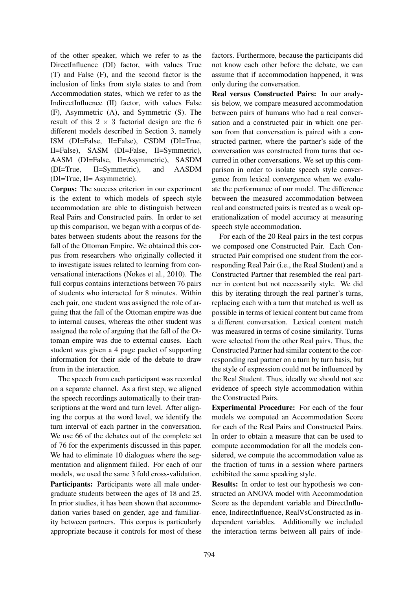of the other speaker, which we refer to as the DirectInfluence (DI) factor, with values True (T) and False (F), and the second factor is the inclusion of links from style states to and from Accommodation states, which we refer to as the IndirectInfluence (II) factor, with values False (F), Asymmetric (A), and Symmetric (S). The result of this  $2 \times 3$  factorial design are the 6 different models described in Section 3, namely ISM (DI=False, II=False), CSDM (DI=True, II=False), SASM (DI=False, II=Symmetric), AASM (DI=False, II=Asymmetric), SASDM (DI=True, II=Symmetric), and AASDM (DI=True, II= Asymmetric).

Corpus: The success criterion in our experiment is the extent to which models of speech style accommodation are able to distinguish between Real Pairs and Constructed pairs. In order to set up this comparison, we began with a corpus of debates between students about the reasons for the fall of the Ottoman Empire. We obtained this corpus from researchers who originally collected it to investigate issues related to learning from conversational interactions (Nokes et al., 2010). The full corpus contains interactions between 76 pairs of students who interacted for 8 minutes. Within each pair, one student was assigned the role of arguing that the fall of the Ottoman empire was due to internal causes, whereas the other student was assigned the role of arguing that the fall of the Ottoman empire was due to external causes. Each student was given a 4 page packet of supporting information for their side of the debate to draw from in the interaction.

The speech from each participant was recorded on a separate channel. As a first step, we aligned the speech recordings automatically to their transcriptions at the word and turn level. After aligning the corpus at the word level, we identify the turn interval of each partner in the conversation. We use 66 of the debates out of the complete set of 76 for the experiments discussed in this paper. We had to eliminate 10 dialogues where the segmentation and alignment failed. For each of our models, we used the same 3 fold cross-validation.

Participants: Participants were all male undergraduate students between the ages of 18 and 25. In prior studies, it has been shown that accommodation varies based on gender, age and familiarity between partners. This corpus is particularly appropriate because it controls for most of these factors. Furthermore, because the participants did not know each other before the debate, we can assume that if accommodation happened, it was only during the conversation.

Real versus Constructed Pairs: In our analysis below, we compare measured accommodation between pairs of humans who had a real conversation and a constructed pair in which one person from that conversation is paired with a constructed partner, where the partner's side of the conversation was constructed from turns that occurred in other conversations. We set up this comparison in order to isolate speech style convergence from lexical convergence when we evaluate the performance of our model. The difference between the measured accommodation between real and constructed pairs is treated as a weak operationalization of model accuracy at measuring speech style accommodation.

For each of the 20 Real pairs in the test corpus we composed one Constructed Pair. Each Constructed Pair comprised one student from the corresponding Real Pair (i.e., the Real Student) and a Constructed Partner that resembled the real partner in content but not necessarily style. We did this by iterating through the real partner's turns, replacing each with a turn that matched as well as possible in terms of lexical content but came from a different conversation. Lexical content match was measured in terms of cosine similarity. Turns were selected from the other Real pairs. Thus, the Constructed Partner had similar content to the corresponding real partner on a turn by turn basis, but the style of expression could not be influenced by the Real Student. Thus, ideally we should not see evidence of speech style accommodation within the Constructed Pairs.

Experimental Procedure: For each of the four models we computed an Accommodation Score for each of the Real Pairs and Constructed Pairs. In order to obtain a measure that can be used to compute accommodation for all the models considered, we compute the accommodation value as the fraction of turns in a session where partners exhibited the same speaking style.

Results: In order to test our hypothesis we constructed an ANOVA model with Accommodation Score as the dependent variable and DirectInfluence, IndirectInfluence, RealVsConstructed as independent variables. Additionally we included the interaction terms between all pairs of inde-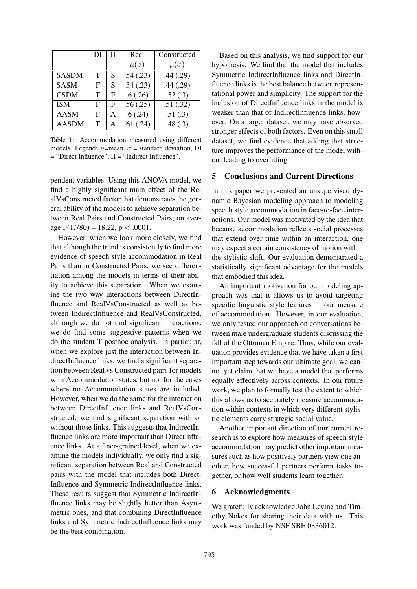|              | DI | Н | Real          | Constructed   |
|--------------|----|---|---------------|---------------|
|              |    |   | $\mu(\sigma)$ | $\mu(\sigma)$ |
| <b>SASDM</b> | T  | S | .54(.23)      | .44(.29)      |
| <b>SASM</b>  | F  | S | .54(.23)      | .44(.29)      |
| <b>CSDM</b>  | T  | F | .6(.26)       | .52(.3)       |
| <b>ISM</b>   | F  | F | .56(.25)      | .51(.32)      |
| <b>AASM</b>  | F  | A | .6(.24)       | .51(.3)       |
| <b>AASDM</b> | T  | А | .61(.24)      | .48(.3)       |

Table 1: Accommodation measured using different models. Legend:  $\mu$ =mean,  $\sigma$  = standard deviation, DI = "Direct Influence", II = "Indirect Influence".

pendent variables. Using this ANOVA model, we find a highly significant main effect of the RealVsConstructed factor that demonstrates the general ability of the models to achieve separation between Real Pairs and Constructed Pairs; on average F(1,780) = 18.22, p *<* .0001.

However, when we look more closely, we find that although the trend is consistently to find more evidence of speech style accommodation in Real Pairs than in Constructed Pairs, we see differentiation among the models in terms of their ability to achieve this separation. When we examine the two way interactions between DirectInfluence and RealVsConstructed as well as between IndirectInfluence and RealVsConstructed, although we do not find significant interactions, we do find some suggestive patterns when we do the student T posthoc analysis. In particular, when we explore just the interaction between IndirectInfluence links, we find a significant separation between Real vs Constructed pairs for models with Accommodation states, but not for the cases where no Accommodation states are included. However, when we do the same for the interaction between DirectInfluence links and RealVsConstructed, we find significant separation with or without those links. This suggests that IndirectInfluence links are more important than DirectInfluence links. At a finer-grained level, when we examine the models individually, we only find a significant separation between Real and Constructed pairs with the model that includes both Direct-Influence and Symmetric IndirectInfluence links. These results suggest that Symmetric IndirectInfluence links may be slightly better than Asymmetric ones, and that combining DirectInfluence links and Symmetric IndirectInfluence links may be the best combination.

Based on this analysis, we find support for our hypothesis. We find that the model that includes Symmetric IndirectInfluence links and DirectInfluence links is the best balance between representational power and simplicity. The support for the inclusion of DirectInfluence links in the model is weaker than that of IndirectInfluence links, however. On a larger dataset, we may have observed stronger effects of both factors. Even on this small dataset, we find evidence that adding that structure improves the performance of the model without leading to overfitting.

### 5 Conclusions and Current Directions

In this paper we presented an unsupervised dynamic Bayesian modeling approach to modeling speech style accommodation in face-to-face interactions. Our model was motivated by the idea that because accommodation reflects social processes that extend over time within an interaction, one may expect a certain consistency of motion within the stylistic shift. Our evaluation demonstrated a statistically significant advantage for the models that embodied this idea.

An important motivation for our modeling approach was that it allows us to avoid targeting specific linguistic style features in our measure of accommodation. However, in our evaluation, we only tested our approach on conversations between male undergraduate students discussing the fall of the Ottoman Empire. Thus, while our evaluation provides evidence that we have taken a first important step towards our ultimate goal, we cannot yet claim that we have a model that performs equally effectively across contexts. In our future work, we plan to formally test the extent to which this allows us to accurately measure accommodation within contexts in which very different stylistic elements carry strategic social value.

Another important direction of our current research is to explore how measures of speech style accommodation may predict other important measures such as how positively partners view one another, how successful partners perform tasks together, or how well students learn together.

### 6 Acknowledgments

We gratefully acknowledge John Levine and Timothy Nokes for sharing their data with us. This work was funded by NSF SBE 0836012.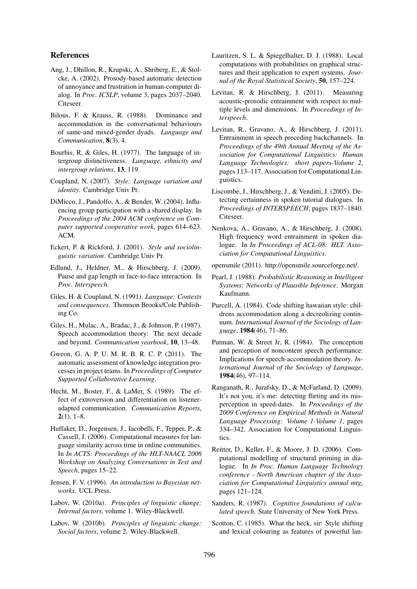### References

- Ang, J., Dhillon, R., Krupski, A., Shriberg, E., & Stolcke, A. (2002). Prosody-based automatic detection of annoyance and frustration in human-computer dialog. In *Proc. ICSLP*, volume 3, pages 2037–2040. Citeseer.
- Bilous, F. & Krauss, R. (1988). Dominance and accommodation in the conversational behaviours of same-and mixed-gender dyads. *Language and Communication*, 8(3), 4.
- Bourhis, R. & Giles, H. (1977). The language of intergroup distinctiveness. *Language, ethnicity and intergroup relations*, 13, 119.
- Coupland, N. (2007). *Style: Language variation and identity*. Cambridge Univ Pr.
- DiMicco, J., Pandolfo, A., & Bender, W. (2004). Influencing group participation with a shared display. In *Proceedings of the 2004 ACM conference on Computer supported cooperative work*, pages 614–623. ACM.
- Eckert, P. & Rickford, J. (2001). *Style and sociolinguistic variation*. Cambridge Univ Pr.
- Edlund, J., Heldner, M., & Hirschberg, J. (2009). Pause and gap length in face-to-face interaction. In *Proc. Interspeech*.
- Giles, H. & Coupland, N. (1991). *Language: Contexts and consequences.* Thomson Brooks/Cole Publishing Co.
- Giles, H., Mulac, A., Bradac, J., & Johnson, P. (1987). Speech accommodation theory: The next decade and beyond. *Communication yearbook*, 10, 13–48.
- Gweon, G. A. P. U. M. R. B. R. C. P. (2011). The automatic assessment of knowledge integration processes in project teams. In *Proceedings of Computer Supported Collaborative Learning*.
- Hecht, M., Boster, F., & LaMer, S. (1989). The effect of extroversion and differentiation on listeneradapted communication. *Communication Reports*,  $2(1)$ , 1–8.
- Huffaker, D., Jorgensen, J., Iacobelli, F., Tepper, P., & Cassell, J. (2006). Computational measures for language similarity across time in online communities. In *In ACTS: Proceedings of the HLT-NAACL 2006 Workshop on Analyzing Conversations in Text and Speech*, pages 15–22.
- Jensen, F. V. (1996). *An introduction to Bayesian networks*. UCL Press.
- Labov, W. (2010a). *Principles of linguistic change: Internal factors*, volume 1. Wiley-Blackwell.
- Labov, W. (2010b). *Principles of linguistic change: Social factors*, volume 2. Wiley-Blackwell.
- Lauritzen, S. L. & Spiegelhalter, D. J. (1988). Local computations with probabilities on graphical structures and their application to expert systems. *Journal of the Royal Statistical Society*, 50, 157–224.
- Levitan, R. & Hirschberg, J. (2011). Measuring acoustic-prosodic entrainment with respect to multiple levels and dimensions. In *Proceedings of Interspeech*.
- Levitan, R., Gravano, A., & Hirschberg, J. (2011). Entrainment in speech preceding backchannels. In *Proceedings of the 49th Annual Meeting of the Association for Computational Linguistics: Human Language Technologies: short papers-Volume 2*, pages 113–117. Association for Computational Linguistics.
- Liscombe, J., Hirschberg, J., & Venditti, J. (2005). Detecting certainness in spoken tutorial dialogues. In *Proceedings of INTERSPEECH*, pages 1837–1840. Citeseer.
- Nenkova, A., Gravano, A., & Hirschberg, J. (2008). High frequency word entrainment in spoken dialogue. In *In Proceedings of ACL-08: HLT. Association for Computational Linguistics*.
- opensmile (2011). http://opensmile.sourceforge.net/.
- Pearl, J. (1988). *Probabilistic Reasoning in Intelligent Systems: Networks of Plausible Inference*. Morgan Kaufmann.
- Purcell, A. (1984). Code shifting hawaiian style: childrens accommodation along a decreolizing continuum. *International Journal of the Sociology of Language*, 1984(46), 71–86.
- Putman, W. & Street Jr, R. (1984). The conception and perception of noncontent speech performance: Implications for speech-accommodation theory. *International Journal of the Sociology of Language*, 1984(46), 97–114.
- Ranganath, R., Jurafsky, D., & McFarland, D. (2009). It's not you, it's me: detecting flirting and its misperception in speed-dates. In *Proceedings of the 2009 Conference on Empirical Methods in Natural Language Processing: Volume 1-Volume 1*, pages 334–342. Association for Computational Linguistics.
- Reitter, D., Keller, F., & Moore, J. D. (2006). Computational modelling of structural priming in dialogue. In *In Proc. Human Language Technology conference - North American chapter of the Association for Computational Linguistics annual mtg*, pages 121–124.
- Sanders, R. (1987). *Cognitive foundations of calculated speech*. State University of New York Press.
- Scotton, C. (1985). What the heck, sir: Style shifting and lexical colouring as features of powerful lan-